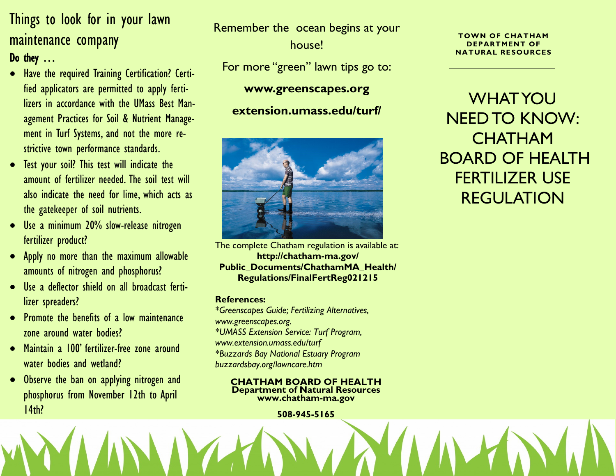# Things to look for in your lawn maintenance company Do they …

- Have the required Training Certification? Certified applicators are permitted to apply fertilizers in accordance with the UMass Best Management Practices for Soil & Nutrient Management in Turf Systems, and not the more restrictive town performance standards.
- Test your soil? This test will indicate the amount of fertilizer needed. The soil test will also indicate the need for lime, which acts as the gatekeeper of soil nutrients.
- Use a minimum 20% slow-release nitrogen fertilizer product?
- Apply no more than the maximum allowable amounts of nitrogen and phosphorus?
- Use a deflector shield on all broadcast fertilizer spreaders?
- Promote the benefits of a low maintenance zone around water bodies?
- Maintain a 100' fertilizer-free zone around water bodies and wetland?
- Observe the ban on applying nitrogen and phosphorus from November 12th to April 14th?

Remember the ocean begins at your house!

For more "green" lawn tips go to:

### **www.greenscapes.org**

## **extension.umass.edu/turf/**



The complete Chatham regulation is available at: **http://chatham-ma.gov/ Public\_Documents/ChathamMA\_Health/ Regulations/FinalFertReg021215** 

#### **References:**

*\*Greenscapes Guide; Fertilizing Alternatives, www.greenscapes.org. \*UMASS Extension Service: Turf Program, www.extension.umass.edu/turf \*Buzzards Bay National Estuary Program buzzardsbay.org/lawncare.htm*

#### **CHATHAM BOARD OF HEALTH Department of Natural Resources www.chatham-ma.gov**

#### **508-945-5165**

**TOWN OF CHATHAM DEPARTMENT OF NATURAL RESOURCES**

WHAT YOU NEED TO KNOW: **CHATHAM** BOARD OF HEALTH FERTILIZER USE REGULATION